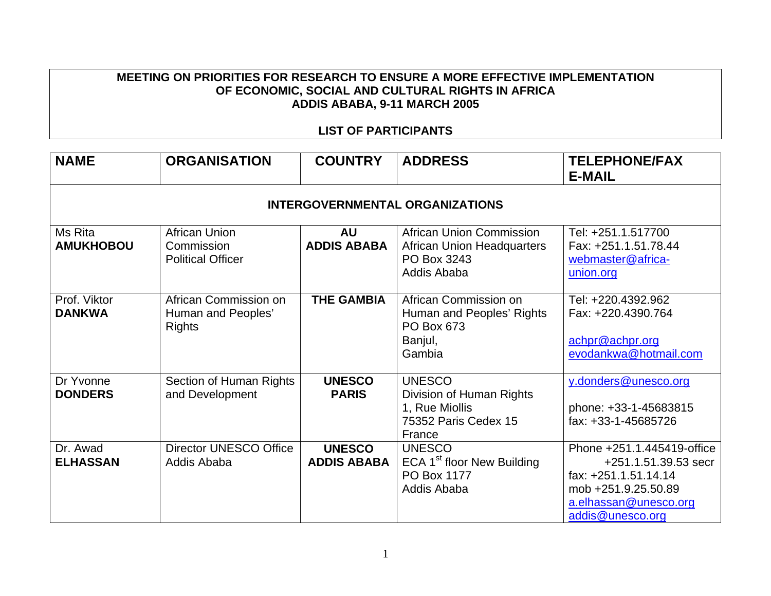## **MEETING ON PRIORITIES FOR RESEARCH TO ENSURE A MORE EFFECTIVE IMPLEMENTATION OF ECONOMIC, SOCIAL AND CULTURAL RIGHTS IN AFRICA ADDIS ABABA, 9-11 MARCH 2005**

## **LIST OF PARTICIPANTS**

| <b>NAME</b>                   | <b>ORGANISATION</b>                                          | <b>COUNTRY</b>                      | <b>ADDRESS</b>                                                                                | <b>TELEPHONE/FAX</b><br><b>E-MAIL</b>                                                                                                          |  |  |  |
|-------------------------------|--------------------------------------------------------------|-------------------------------------|-----------------------------------------------------------------------------------------------|------------------------------------------------------------------------------------------------------------------------------------------------|--|--|--|
|                               | <b>INTERGOVERNMENTAL ORGANIZATIONS</b>                       |                                     |                                                                                               |                                                                                                                                                |  |  |  |
| Ms Rita<br><b>AMUKHOBOU</b>   | African Union<br>Commission<br><b>Political Officer</b>      | <b>AU</b><br><b>ADDIS ABABA</b>     | African Union Commission<br><b>African Union Headquarters</b><br>PO Box 3243<br>Addis Ababa   | Tel: +251.1.517700<br>Fax: +251.1.51.78.44<br>webmaster@africa-<br>union.org                                                                   |  |  |  |
| Prof. Viktor<br><b>DANKWA</b> | African Commission on<br>Human and Peoples'<br><b>Rights</b> | <b>THE GAMBIA</b>                   | African Commission on<br>Human and Peoples' Rights<br>PO Box 673<br>Banjul,<br>Gambia         | Tel: +220.4392.962<br>Fax: +220.4390.764<br>achpr@achpr.org<br>evodankwa@hotmail.com                                                           |  |  |  |
| Dr Yvonne<br><b>DONDERS</b>   | Section of Human Rights<br>and Development                   | <b>UNESCO</b><br><b>PARIS</b>       | <b>UNESCO</b><br>Division of Human Rights<br>1, Rue Miollis<br>75352 Paris Cedex 15<br>France | y.donders@unesco.org<br>phone: +33-1-45683815<br>fax: +33-1-45685726                                                                           |  |  |  |
| Dr. Awad<br><b>ELHASSAN</b>   | <b>Director UNESCO Office</b><br>Addis Ababa                 | <b>UNESCO</b><br><b>ADDIS ABABA</b> | <b>UNESCO</b><br>ECA 1 <sup>st</sup> floor New Building<br>PO Box 1177<br>Addis Ababa         | Phone +251.1.445419-office<br>+251.1.51.39.53 secr<br>fax: +251.1.51.14.14<br>mob +251.9.25.50.89<br>a.elhassan@unesco.org<br>addis@unesco.org |  |  |  |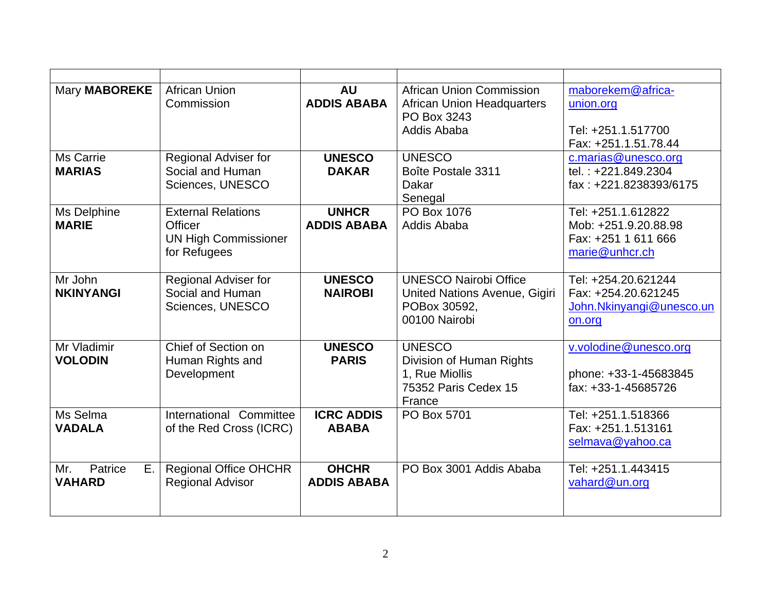| <b>Mary MABOREKE</b>                  | <b>African Union</b><br>Commission                                                         | <b>AU</b><br><b>ADDIS ABABA</b>    | <b>African Union Commission</b><br><b>African Union Headquarters</b><br>PO Box 3243<br>Addis Ababa | maborekem@africa-<br>union.org<br>Tel: +251.1.517700<br>Fax: +251.1.51.78.44        |
|---------------------------------------|--------------------------------------------------------------------------------------------|------------------------------------|----------------------------------------------------------------------------------------------------|-------------------------------------------------------------------------------------|
| <b>Ms Carrie</b><br><b>MARIAS</b>     | <b>Regional Adviser for</b><br>Social and Human<br>Sciences, UNESCO                        | <b>UNESCO</b><br><b>DAKAR</b>      | <b>UNESCO</b><br>Boîte Postale 3311<br>Dakar<br>Senegal                                            | c.marias@unesco.org<br>tel.: +221.849.2304<br>fax: +221.8238393/6175                |
| Ms Delphine<br><b>MARIE</b>           | <b>External Relations</b><br><b>Officer</b><br><b>UN High Commissioner</b><br>for Refugees | <b>UNHCR</b><br><b>ADDIS ABABA</b> | PO Box 1076<br>Addis Ababa                                                                         | Tel: +251.1.612822<br>Mob: +251.9.20.88.98<br>Fax: +251 1 611 666<br>marie@unhcr.ch |
| Mr John<br><b>NKINYANGI</b>           | Regional Adviser for<br>Social and Human<br>Sciences, UNESCO                               | <b>UNESCO</b><br><b>NAIROBI</b>    | <b>UNESCO Nairobi Office</b><br>United Nations Avenue, Gigiri<br>POBox 30592,<br>00100 Nairobi     | Tel: +254.20.621244<br>Fax: +254.20.621245<br>John.Nkinyangi@unesco.un<br>on.org    |
| Mr Vladimir<br><b>VOLODIN</b>         | Chief of Section on<br>Human Rights and<br>Development                                     | <b>UNESCO</b><br><b>PARIS</b>      | <b>UNESCO</b><br>Division of Human Rights<br>1, Rue Miollis<br>75352 Paris Cedex 15<br>France      | v.volodine@unesco.org<br>phone: +33-1-45683845<br>fax: +33-1-45685726               |
| Ms Selma<br><b>VADALA</b>             | International Committee<br>of the Red Cross (ICRC)                                         | <b>ICRC ADDIS</b><br><b>ABABA</b>  | PO Box 5701                                                                                        | Tel: +251.1.518366<br>Fax: +251.1.513161<br>selmava@yahoo.ca                        |
| Mr.<br>Patrice<br>Ε.<br><b>VAHARD</b> | <b>Regional Office OHCHR</b><br><b>Regional Advisor</b>                                    | <b>OHCHR</b><br><b>ADDIS ABABA</b> | PO Box 3001 Addis Ababa                                                                            | Tel: +251.1.443415<br>vahard@un.org                                                 |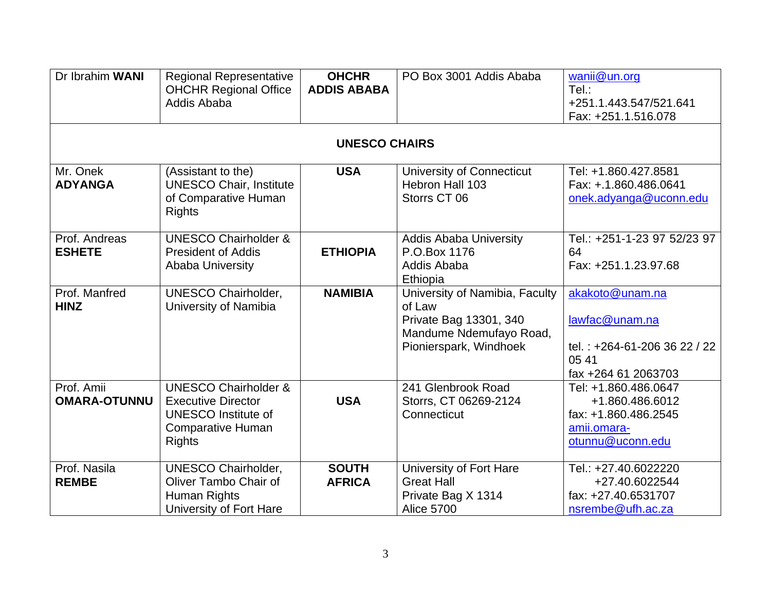| Dr Ibrahim WANI                   | <b>Regional Representative</b><br><b>OHCHR Regional Office</b><br>Addis Ababa                                                    | <b>OHCHR</b><br><b>ADDIS ABABA</b> | PO Box 3001 Addis Ababa                                                                                                 | wanii@un.org<br>Tel.:<br>+251.1.443.547/521.641<br>Fax: +251.1.516.078                             |
|-----------------------------------|----------------------------------------------------------------------------------------------------------------------------------|------------------------------------|-------------------------------------------------------------------------------------------------------------------------|----------------------------------------------------------------------------------------------------|
|                                   |                                                                                                                                  | <b>UNESCO CHAIRS</b>               |                                                                                                                         |                                                                                                    |
| Mr. Onek<br><b>ADYANGA</b>        | (Assistant to the)<br><b>UNESCO Chair, Institute</b><br>of Comparative Human<br><b>Rights</b>                                    | <b>USA</b>                         | University of Connecticut<br>Hebron Hall 103<br>Storrs CT 06                                                            | Tel: +1.860.427.8581<br>Fax: +.1.860.486.0641<br>onek.adyanga@uconn.edu                            |
| Prof. Andreas<br><b>ESHETE</b>    | <b>UNESCO Chairholder &amp;</b><br><b>President of Addis</b><br><b>Ababa University</b>                                          | <b>ETHIOPIA</b>                    | <b>Addis Ababa University</b><br>P.O.Box 1176<br>Addis Ababa<br>Ethiopia                                                | Tel.: +251-1-23 97 52/23 97<br>64<br>Fax: +251.1.23.97.68                                          |
| Prof. Manfred<br><b>HINZ</b>      | <b>UNESCO Chairholder,</b><br>University of Namibia                                                                              | <b>NAMIBIA</b>                     | University of Namibia, Faculty<br>of Law<br>Private Bag 13301, 340<br>Mandume Ndemufayo Road,<br>Pionierspark, Windhoek | akakoto@unam.na<br>lawfac@unam.na<br>tel.: +264-61-206 36 22 / 22<br>05 41<br>fax +264 61 2063703  |
| Prof. Amii<br><b>OMARA-OTUNNU</b> | <b>UNESCO Chairholder &amp;</b><br><b>Executive Director</b><br><b>UNESCO Institute of</b><br>Comparative Human<br><b>Rights</b> | <b>USA</b>                         | 241 Glenbrook Road<br>Storrs, CT 06269-2124<br>Connecticut                                                              | Tel: +1.860.486.0647<br>+1.860.486.6012<br>fax: +1.860.486.2545<br>amii.omara-<br>otunnu@uconn.edu |
| Prof. Nasila<br><b>REMBE</b>      | <b>UNESCO Chairholder,</b><br>Oliver Tambo Chair of<br>Human Rights<br>University of Fort Hare                                   | <b>SOUTH</b><br><b>AFRICA</b>      | University of Fort Hare<br><b>Great Hall</b><br>Private Bag X 1314<br><b>Alice 5700</b>                                 | Tel.: +27.40.6022220<br>+27.40.6022544<br>fax: +27.40.6531707<br>nsrembe@ufh.ac.za                 |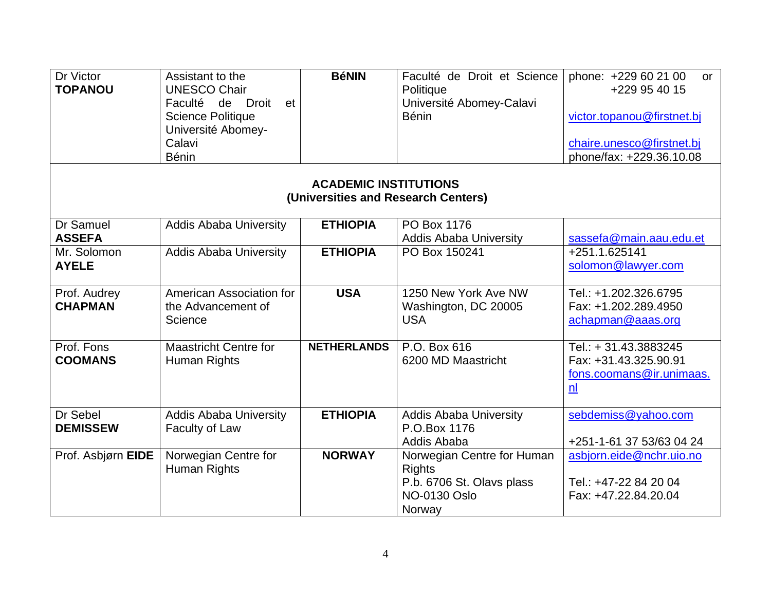| Dr Victor<br><b>TOPANOU</b>                                         | Assistant to the<br><b>UNESCO Chair</b><br>Faculté<br>de<br>Droit<br>et<br><b>Science Politique</b><br>Université Abomey-<br>Calavi<br><b>Bénin</b> | <b>BéNIN</b>       | Faculté de Droit et Science<br>Politique<br>Université Abomey-Calavi<br><b>Bénin</b>                      | phone: +229 60 21 00<br><b>or</b><br>+229 95 40 15<br>victor.topanou@firstnet.bj<br>chaire.unesco@firstnet.bj<br>phone/fax: +229.36.10.08 |  |
|---------------------------------------------------------------------|-----------------------------------------------------------------------------------------------------------------------------------------------------|--------------------|-----------------------------------------------------------------------------------------------------------|-------------------------------------------------------------------------------------------------------------------------------------------|--|
| <b>ACADEMIC INSTITUTIONS</b><br>(Universities and Research Centers) |                                                                                                                                                     |                    |                                                                                                           |                                                                                                                                           |  |
| Dr Samuel<br><b>ASSEFA</b>                                          | <b>Addis Ababa University</b>                                                                                                                       | <b>ETHIOPIA</b>    | PO Box 1176<br><b>Addis Ababa University</b>                                                              | sassefa@main.aau.edu.et                                                                                                                   |  |
| Mr. Solomon<br><b>AYELE</b>                                         | <b>Addis Ababa University</b>                                                                                                                       | <b>ETHIOPIA</b>    | PO Box 150241                                                                                             | +251.1.625141<br>solomon@lawyer.com                                                                                                       |  |
| Prof. Audrey<br><b>CHAPMAN</b>                                      | American Association for<br>the Advancement of<br>Science                                                                                           | <b>USA</b>         | 1250 New York Ave NW<br>Washington, DC 20005<br><b>USA</b>                                                | Tel.: +1.202.326.6795<br>Fax: +1.202.289.4950<br>achapman@aaas.org                                                                        |  |
| Prof. Fons<br><b>COOMANS</b>                                        | <b>Maastricht Centre for</b><br>Human Rights                                                                                                        | <b>NETHERLANDS</b> | P.O. Box 616<br>6200 MD Maastricht                                                                        | Tel.: + 31.43.3883245<br>Fax: +31.43.325.90.91<br>fons.coomans@ir.unimaas.<br>$\underline{n}$                                             |  |
| Dr Sebel<br><b>DEMISSEW</b>                                         | <b>Addis Ababa University</b><br>Faculty of Law                                                                                                     | <b>ETHIOPIA</b>    | <b>Addis Ababa University</b><br>P.O.Box 1176<br>Addis Ababa                                              | sebdemiss@yahoo.com<br>+251-1-61 37 53/63 04 24                                                                                           |  |
| Prof. Asbjørn EIDE                                                  | Norwegian Centre for<br>Human Rights                                                                                                                | <b>NORWAY</b>      | Norwegian Centre for Human<br><b>Rights</b><br>P.b. 6706 St. Olavs plass<br><b>NO-0130 Oslo</b><br>Norway | asbjorn.eide@nchr.uio.no<br>Tel.: +47-22 84 20 04<br>Fax: +47.22.84.20.04                                                                 |  |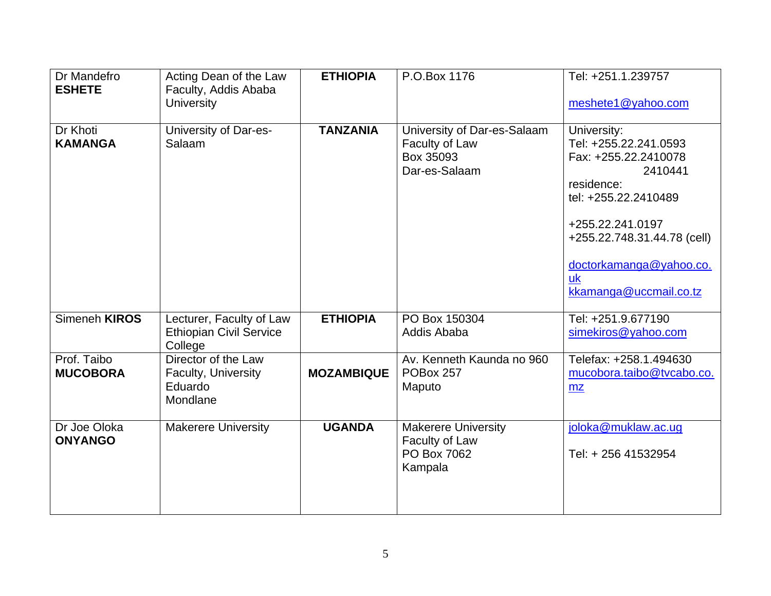| Dr Mandefro<br><b>ESHETE</b>   | Acting Dean of the Law<br>Faculty, Addis Ababa<br><b>University</b>   | <b>ETHIOPIA</b>   | P.O.Box 1176                                                                | Tel: +251.1.239757<br>meshete1@yahoo.com                                                                                                                                                                                           |
|--------------------------------|-----------------------------------------------------------------------|-------------------|-----------------------------------------------------------------------------|------------------------------------------------------------------------------------------------------------------------------------------------------------------------------------------------------------------------------------|
| Dr Khoti<br><b>KAMANGA</b>     | University of Dar-es-<br>Salaam                                       | <b>TANZANIA</b>   | University of Dar-es-Salaam<br>Faculty of Law<br>Box 35093<br>Dar-es-Salaam | University:<br>Tel: +255.22.241.0593<br>Fax: +255.22.2410078<br>2410441<br>residence:<br>tel: +255.22.2410489<br>+255.22.241.0197<br>+255.22.748.31.44.78 (cell)<br>doctorkamanga@yahoo.co.<br><b>uk</b><br>kkamanga@uccmail.co.tz |
| Simeneh KIROS                  | Lecturer, Faculty of Law<br><b>Ethiopian Civil Service</b><br>College | <b>ETHIOPIA</b>   | PO Box 150304<br>Addis Ababa                                                | Tel: +251.9.677190<br>simekiros@yahoo.com                                                                                                                                                                                          |
| Prof. Taibo<br><b>MUCOBORA</b> | Director of the Law<br>Faculty, University<br>Eduardo<br>Mondlane     | <b>MOZAMBIQUE</b> | Av. Kenneth Kaunda no 960<br>POBox 257<br>Maputo                            | Telefax: +258.1.494630<br>mucobora.taibo@tvcabo.co.<br>mz                                                                                                                                                                          |
| Dr Joe Oloka<br><b>ONYANGO</b> | <b>Makerere University</b>                                            | <b>UGANDA</b>     | <b>Makerere University</b><br>Faculty of Law<br>PO Box 7062<br>Kampala      | joloka@muklaw.ac.ug<br>Tel: + 256 41532954                                                                                                                                                                                         |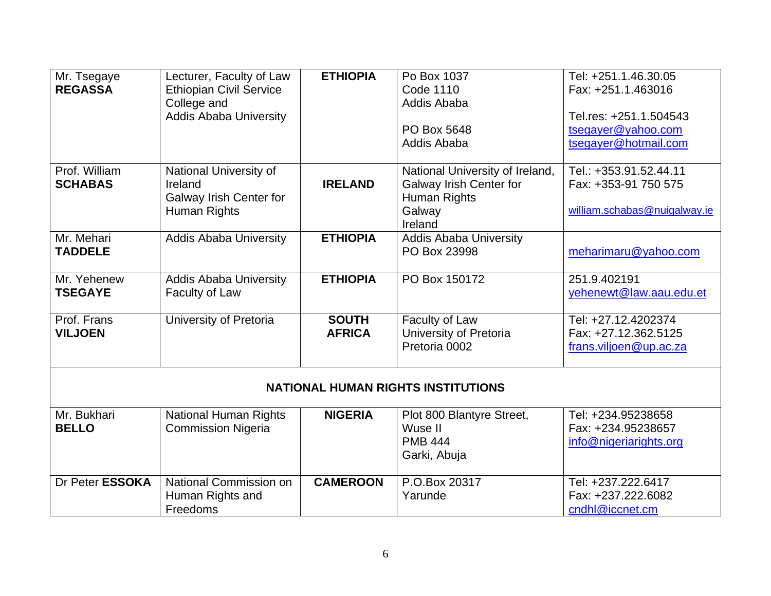| Mr. Tsegaye<br><b>REGASSA</b>   | Lecturer, Faculty of Law<br><b>Ethiopian Civil Service</b><br>College and<br><b>Addis Ababa University</b> | <b>ETHIOPIA</b>               | Po Box 1037<br>Code 1110<br>Addis Ababa<br>PO Box 5648<br>Addis Ababa                           | Tel: +251.1.46.30.05<br>Fax: +251.1.463016<br>Tel.res: +251.1.504543<br>tsegayer@yahoo.com<br>tsegayer@hotmail.com |  |  |
|---------------------------------|------------------------------------------------------------------------------------------------------------|-------------------------------|-------------------------------------------------------------------------------------------------|--------------------------------------------------------------------------------------------------------------------|--|--|
| Prof. William<br><b>SCHABAS</b> | National University of<br>Ireland<br>Galway Irish Center for<br>Human Rights                               | <b>IRELAND</b>                | National University of Ireland,<br>Galway Irish Center for<br>Human Rights<br>Galway<br>Ireland | Tel.: +353.91.52.44.11<br>Fax: +353-91 750 575<br>william.schabas@nuigalway.ie                                     |  |  |
| Mr. Mehari<br><b>TADDELE</b>    | <b>Addis Ababa University</b>                                                                              | <b>ETHIOPIA</b>               | <b>Addis Ababa University</b><br>PO Box 23998                                                   | meharimaru@yahoo.com                                                                                               |  |  |
| Mr. Yehenew<br><b>TSEGAYE</b>   | <b>Addis Ababa University</b><br>Faculty of Law                                                            | <b>ETHIOPIA</b>               | PO Box 150172                                                                                   | 251.9.402191<br>yehenewt@law.aau.edu.et                                                                            |  |  |
| Prof. Frans<br><b>VILJOEN</b>   | University of Pretoria                                                                                     | <b>SOUTH</b><br><b>AFRICA</b> | Faculty of Law<br>University of Pretoria<br>Pretoria 0002                                       | Tel: +27.12.4202374<br>Fax: +27.12.362.5125<br>frans.viljoen@up.ac.za                                              |  |  |
|                                 | <b>NATIONAL HUMAN RIGHTS INSTITUTIONS</b>                                                                  |                               |                                                                                                 |                                                                                                                    |  |  |
| Mr. Bukhari<br><b>BELLO</b>     | <b>National Human Rights</b><br><b>Commission Nigeria</b>                                                  | <b>NIGERIA</b>                | Plot 800 Blantyre Street,<br>Wuse II<br><b>PMB 444</b><br>Garki, Abuja                          | Tel: +234.95238658<br>Fax: +234.95238657<br>info@nigeriarights.org                                                 |  |  |
| Dr Peter ESSOKA                 | National Commission on<br>Human Rights and<br>Freedoms                                                     | <b>CAMEROON</b>               | P.O.Box 20317<br>Yarunde                                                                        | Tel: +237.222.6417<br>Fax: +237.222.6082<br>cndhl@iccnet.cm                                                        |  |  |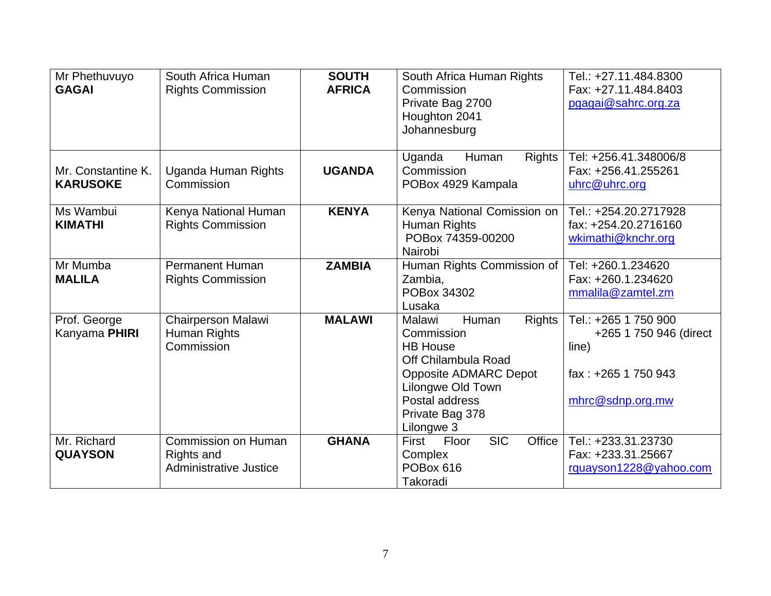| Mr Phethuvuyo<br><b>GAGAI</b>         | South Africa Human<br><b>Rights Commission</b>                     | <b>SOUTH</b><br><b>AFRICA</b> | South Africa Human Rights<br>Commission<br>Private Bag 2700<br>Houghton 2041<br>Johannesburg                                                                                                     | Tel.: +27.11.484.8300<br>Fax: +27.11.484.8403<br>pgagai@sahrc.org.za                               |
|---------------------------------------|--------------------------------------------------------------------|-------------------------------|--------------------------------------------------------------------------------------------------------------------------------------------------------------------------------------------------|----------------------------------------------------------------------------------------------------|
| Mr. Constantine K.<br><b>KARUSOKE</b> | Uganda Human Rights<br>Commission                                  | <b>UGANDA</b>                 | <b>Rights</b><br>Uganda<br>Human<br>Commission<br>POBox 4929 Kampala                                                                                                                             | Tel: +256.41.348006/8<br>Fax: +256.41.255261<br>uhrc@uhrc.org                                      |
| Ms Wambui<br><b>KIMATHI</b>           | Kenya National Human<br><b>Rights Commission</b>                   | <b>KENYA</b>                  | Kenya National Comission on<br>Human Rights<br>POBox 74359-00200<br>Nairobi                                                                                                                      | Tel.: +254.20.2717928<br>fax: +254.20.2716160<br>wkimathi@knchr.org                                |
| Mr Mumba<br><b>MALILA</b>             | <b>Permanent Human</b><br><b>Rights Commission</b>                 | <b>ZAMBIA</b>                 | Human Rights Commission of<br>Zambia,<br>POBox 34302<br>Lusaka                                                                                                                                   | Tel: +260.1.234620<br>Fax: +260.1.234620<br>mmalila@zamtel.zm                                      |
| Prof. George<br>Kanyama PHIRI         | Chairperson Malawi<br>Human Rights<br>Commission                   | <b>MALAWI</b>                 | <b>Rights</b><br>Malawi<br>Human<br>Commission<br><b>HB House</b><br>Off Chilambula Road<br><b>Opposite ADMARC Depot</b><br>Lilongwe Old Town<br>Postal address<br>Private Bag 378<br>Lilongwe 3 | Tel.: +265 1 750 900<br>+265 1 750 946 (direct<br>line)<br>fax: +265 1 750 943<br>mhrc@sdnp.org.mw |
| Mr. Richard<br><b>QUAYSON</b>         | Commission on Human<br>Rights and<br><b>Administrative Justice</b> | <b>GHANA</b>                  | <b>SIC</b><br>Office<br>Floor<br>First<br>Complex<br>POBox 616<br>Takoradi                                                                                                                       | Tel.: +233.31.23730<br>Fax: +233.31.25667<br>rquayson1228@yahoo.com                                |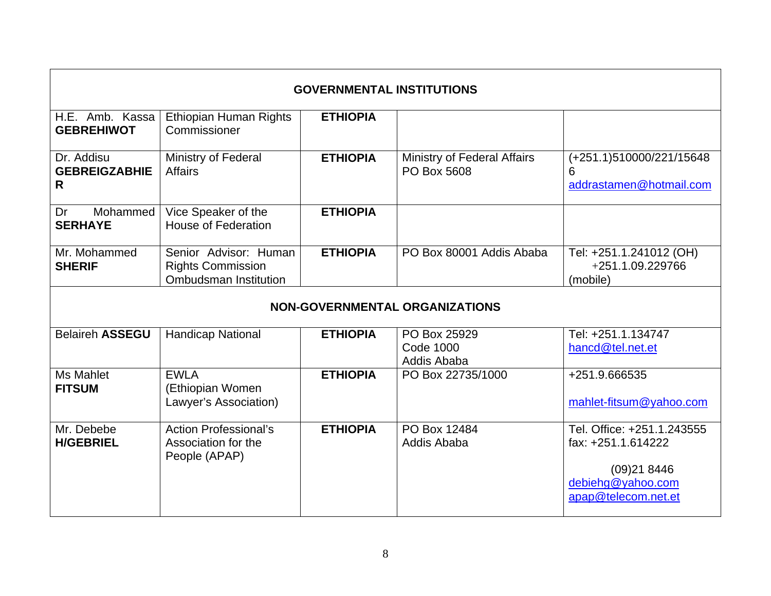| <b>GOVERNMENTAL INSTITUTIONS</b>        |                                                                                   |                 |                                                   |                                                                                                            |
|-----------------------------------------|-----------------------------------------------------------------------------------|-----------------|---------------------------------------------------|------------------------------------------------------------------------------------------------------------|
| H.E. Amb. Kassa<br><b>GEBREHIWOT</b>    | Ethiopian Human Rights<br>Commissioner                                            | <b>ETHIOPIA</b> |                                                   |                                                                                                            |
| Dr. Addisu<br><b>GEBREIGZABHIE</b><br>R | Ministry of Federal<br><b>Affairs</b>                                             | <b>ETHIOPIA</b> | <b>Ministry of Federal Affairs</b><br>PO Box 5608 | (+251.1)510000/221/15648<br>6<br>addrastamen@hotmail.com                                                   |
| Mohammed<br>Dr<br><b>SERHAYE</b>        | Vice Speaker of the<br><b>House of Federation</b>                                 | <b>ETHIOPIA</b> |                                                   |                                                                                                            |
| Mr. Mohammed<br><b>SHERIF</b>           | Senior Advisor: Human<br><b>Rights Commission</b><br><b>Ombudsman Institution</b> | <b>ETHIOPIA</b> | PO Box 80001 Addis Ababa                          | Tel: +251.1.241012 (OH)<br>+251.1.09.229766<br>(mobile)                                                    |
|                                         |                                                                                   |                 | <b>NON-GOVERNMENTAL ORGANIZATIONS</b>             |                                                                                                            |
| <b>Belaireh ASSEGU</b>                  | <b>Handicap National</b>                                                          | <b>ETHIOPIA</b> | PO Box 25929<br><b>Code 1000</b><br>Addis Ababa   | Tel: +251.1.134747<br>hancd@tel.net.et                                                                     |
| Ms Mahlet<br><b>FITSUM</b>              | <b>EWLA</b><br>(Ethiopian Women<br>Lawyer's Association)                          | <b>ETHIOPIA</b> | PO Box 22735/1000                                 | +251.9.666535<br>mahlet-fitsum@yahoo.com                                                                   |
| Mr. Debebe<br><b>H/GEBRIEL</b>          | <b>Action Professional's</b><br>Association for the<br>People (APAP)              | <b>ETHIOPIA</b> | PO Box 12484<br>Addis Ababa                       | Tel. Office: +251.1.243555<br>fax: +251.1.614222<br>(09)218446<br>debiehg@yahoo.com<br>apap@telecom.net.et |